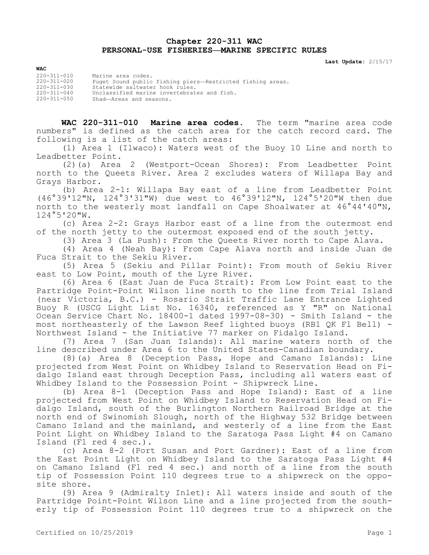## **Chapter 220-311 WAC PERSONAL-USE FISHERIES—MARINE SPECIFIC RULES**

**Last Update:** 2/15/17

**WAC** 220-311-010 Marine area codes. 220-311-020 Puget Sound public fishing piers—Restricted fishing areas. 220-311-030 Statewide saltwater hook rules. 220-311-040 Unclassified marine invertebrates and fish. 220-311-050 Shad—Areas and seasons.

**WAC 220-311-010 Marine area codes.** The term "marine area code numbers" is defined as the catch area for the catch record card. The following is a list of the catch areas:

(1) Area 1 (Ilwaco): Waters west of the Buoy 10 Line and north to Leadbetter Point.

(2)(a) Area 2 (Westport-Ocean Shores): From Leadbetter Point north to the Queets River. Area 2 excludes waters of Willapa Bay and Grays Harbor.

(b) Area 2-1: Willapa Bay east of a line from Leadbetter Point (46°39'12"N, 124°3'31"W) due west to 46°39'12"N, 124°5'20"W then due north to the westerly most landfall on Cape Shoalwater at 46°44'40"N, 124°5'20"W.

(c) Area 2-2: Grays Harbor east of a line from the outermost end of the north jetty to the outermost exposed end of the south jetty.

(3) Area 3 (La Push): From the Queets River north to Cape Alava.

(4) Area 4 (Neah Bay): From Cape Alava north and inside Juan de Fuca Strait to the Sekiu River.

(5) Area 5 (Sekiu and Pillar Point): From mouth of Sekiu River east to Low Point, mouth of the Lyre River.

(6) Area 6 (East Juan de Fuca Strait): From Low Point east to the Partridge Point-Point Wilson line north to the line from Trial Island (near Victoria, B.C.) - Rosario Strait Traffic Lane Entrance Lighted Buoy R (USCG Light List No. 16340, referenced as Y "R" on National Ocean Service Chart No. 18400-1 dated 1997-08-30) - Smith Island - the most northeasterly of the Lawson Reef lighted buoys (RB1 QK Fl Bell) - Northwest Island - the Initiative 77 marker on Fidalgo Island.

(7) Area 7 (San Juan Islands): All marine waters north of the line described under Area 6 to the United States-Canadian boundary.

(8)(a) Area 8 (Deception Pass, Hope and Camano Islands): Line projected from West Point on Whidbey Island to Reservation Head on Fidalgo Island east through Deception Pass, including all waters east of Whidbey Island to the Possession Point - Shipwreck Line.

(b) Area 8-1 (Deception Pass and Hope Island): East of a line projected from West Point on Whidbey Island to Reservation Head on Fidalgo Island, south of the Burlington Northern Railroad Bridge at the north end of Swinomish Slough, north of the Highway 532 Bridge between Camano Island and the mainland, and westerly of a line from the East Point Light on Whidbey Island to the Saratoga Pass Light #4 on Camano Island (Fl red 4 sec.).

(c) Area 8-2 (Port Susan and Port Gardner): East of a line from the East Point Light on Whidbey Island to the Saratoga Pass Light #4 on Camano Island (Fl red 4 sec.) and north of a line from the south tip of Possession Point 110 degrees true to a shipwreck on the opposite shore.

(9) Area 9 (Admiralty Inlet): All waters inside and south of the Partridge Point-Point Wilson Line and a line projected from the southerly tip of Possession Point 110 degrees true to a shipwreck on the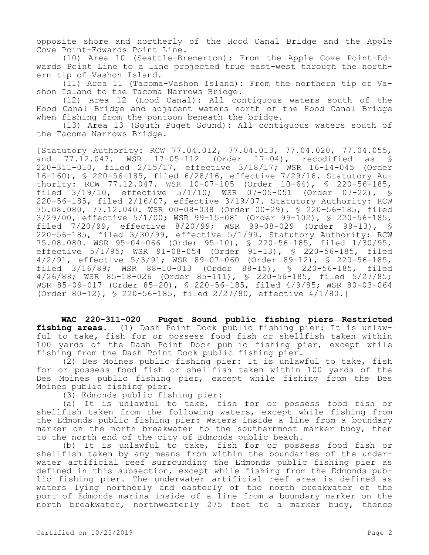opposite shore and northerly of the Hood Canal Bridge and the Apple Cove Point-Edwards Point Line.

(10) Area 10 (Seattle-Bremerton): From the Apple Cove Point-Edwards Point Line to a line projected true east-west through the northern tip of Vashon Island.

(11) Area 11 (Tacoma-Vashon Island): From the northern tip of Vashon Island to the Tacoma Narrows Bridge.

(12) Area 12 (Hood Canal): All contiguous waters south of the Hood Canal Bridge and adjacent waters north of the Hood Canal Bridge when fishing from the pontoon beneath the bridge.

(13) Area 13 (South Puget Sound): All contiguous waters south of the Tacoma Narrows Bridge.

[Statutory Authority: RCW 77.04.012, 77.04.013, 77.04.020, 77.04.055, and 77.12.047. WSR 17-05-112 (Order 17-04), recodified as § 220-311-010, filed 2/15/17, effective 3/18/17; WSR 16-14-045 (Order 16-160), § 220-56-185, filed 6/28/16, effective 7/29/16. Statutory Authority: RCW 77.12.047. WSR 10-07-105 (Order 10-64), § 220-56-185, filed 3/19/10, effective 5/1/10; WSR 07-05-051 (Order 07-22), § 220-56-185, filed 2/16/07, effective 3/19/07. Statutory Authority: RCW 75.08.080, 77.12.040. WSR 00-08-038 (Order 00-29), § 220-56-185, filed 3/29/00, effective 5/1/00; WSR 99-15-081 (Order 99-102), § 220-56-185, filed 7/20/99, effective 8/20/99; WSR 99-08-029 (Order 99-13), § 220-56-185, filed 3/30/99, effective 5/1/99. Statutory Authority: RCW 75.08.080. WSR 95-04-066 (Order 95-10), § 220-56-185, filed 1/30/95, effective 5/1/95; WSR 91-08-054 (Order 91-13), § 220-56-185, filed 4/2/91, effective 5/3/91; WSR 89-07-060 (Order 89-12), § 220-56-185, filed 3/16/89; WSR 88-10-013 (Order 88-15), § 220-56-185, filed 4/26/88; WSR 85-18-026 (Order 85-111), § 220-56-185, filed 5/27/85; WSR 85-09-017 (Order 85-20), § 220-56-185, filed 4/9/85; WSR 80-03-064 (Order 80-12), § 220-56-185, filed 2/27/80, effective 4/1/80.]

**WAC 220-311-020 Puget Sound public fishing piers—Restricted fishing areas.** (1) Dash Point Dock public fishing pier: It is unlawful to take, fish for or possess food fish or shellfish taken within 100 yards of the Dash Point Dock public fishing pier, except while fishing from the Dash Point Dock public fishing pier.

(2) Des Moines public fishing pier: It is unlawful to take, fish for or possess food fish or shellfish taken within 100 yards of the Des Moines public fishing pier, except while fishing from the Des Moines public fishing pier.

(3) Edmonds public fishing pier:

(a) It is unlawful to take, fish for or possess food fish or shellfish taken from the following waters, except while fishing from the Edmonds public fishing pier: Waters inside a line from a boundary marker on the north breakwater to the southernmost marker buoy, then to the north end of the city of Edmonds public beach.

(b) It is unlawful to take, fish for or possess food fish or shellfish taken by any means from within the boundaries of the underwater artificial reef surrounding the Edmonds public fishing pier as defined in this subsection, except while fishing from the Edmonds public fishing pier. The underwater artificial reef area is defined as waters lying northerly and easterly of the north breakwater of the port of Edmonds marina inside of a line from a boundary marker on the north breakwater, northwesterly 275 feet to a marker buoy, thence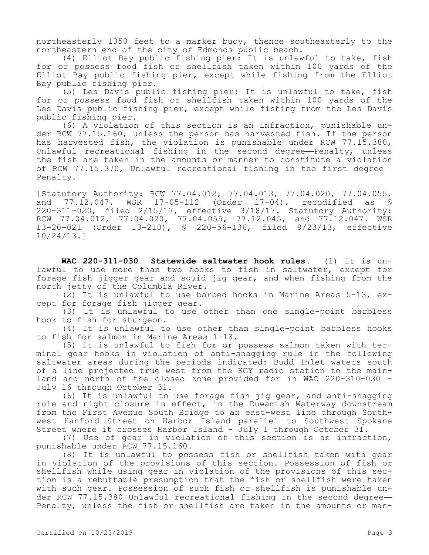northeasterly 1350 feet to a marker buoy, thence southeasterly to the northeastern end of the city of Edmonds public beach.

(4) Elliot Bay public fishing pier: It is unlawful to take, fish for or possess food fish or shellfish taken within 100 yards of the Elliot Bay public fishing pier, except while fishing from the Elliot Bay public fishing pier.

(5) Les Davis public fishing pier: It is unlawful to take, fish for or possess food fish or shellfish taken within 100 yards of the Les Davis public fishing pier, except while fishing from the Les Davis public fishing pier.

(6) A violation of this section is an infraction, punishable under RCW 77.15.160, unless the person has harvested fish. If the person has harvested fish, the violation is punishable under RCW 77.15.380, Unlawful recreational fishing in the second degree—Penalty, unless the fish are taken in the amounts or manner to constitute a violation of RCW 77.15.370, Unlawful recreational fishing in the first degree— Penalty.

[Statutory Authority: RCW 77.04.012, 77.04.013, 77.04.020, 77.04.055, and 77.12.047. WSR 17-05-112 (Order 17-04), recodified as § 220-311-020, filed 2/15/17, effective 3/18/17. Statutory Authority: RCW 77.04.012, 77.04.020, 77.04.055, 77.12.045, and 77.12.047. WSR 13-20-021 (Order 13-210), § 220-56-136, filed 9/23/13, effective 10/24/13.]

**WAC 220-311-030 Statewide saltwater hook rules.** (1) It is unlawful to use more than two hooks to fish in saltwater, except for forage fish jigger gear and squid jig gear, and when fishing from the north jetty of the Columbia River.

(2) It is unlawful to use barbed hooks in Marine Areas 5-13, except for forage fish jigger gear.

(3) It is unlawful to use other than one single-point barbless hook to fish for sturgeon.

(4) It is unlawful to use other than single-point barbless hooks to fish for salmon in Marine Areas 1-13.

(5) It is unlawful to fish for or possess salmon taken with terminal gear hooks in violation of anti-snagging rule in the following saltwater areas during the periods indicated: Budd Inlet waters south of a line projected true west from the KGY radio station to the mainland and north of the closed zone provided for in WAC 220-310-030 - July 16 through October 31.

(6) It is unlawful to use forage fish jig gear, and anti-snagging rule and night closure in effect, in the Duwamish Waterway downstream from the First Avenue South Bridge to an east-west line through Southwest Hanford Street on Harbor Island parallel to Southwest Spokane Street where it crosses Harbor Island - July 1 through October 31.

(7) Use of gear in violation of this section is an infraction, punishable under RCW 77.15.160.

(8) It is unlawful to possess fish or shellfish taken with gear in violation of the provisions of this section. Possession of fish or shellfish while using gear in violation of the provisions of this section is a rebuttable presumption that the fish or shellfish were taken with such gear. Possession of such fish or shellfish is punishable under RCW 77.15.380 Unlawful recreational fishing in the second degree— Penalty, unless the fish or shellfish are taken in the amounts or man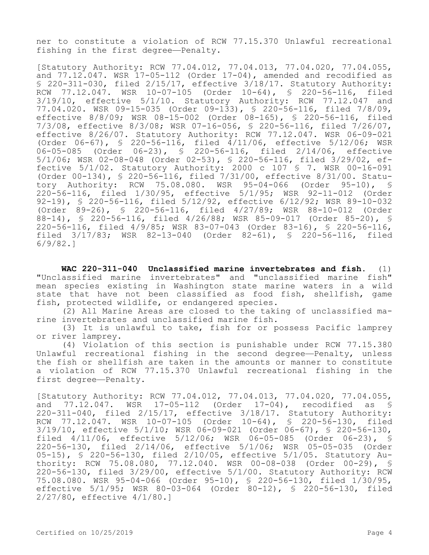ner to constitute a violation of RCW 77.15.370 Unlawful recreational fishing in the first degree—Penalty.

[Statutory Authority: RCW 77.04.012, 77.04.013, 77.04.020, 77.04.055, and  $77.12.047$ . WSR  $17-05-112$  (Order  $17-04$ ), amended and recodified as § 220-311-030, filed 2/15/17, effective 3/18/17. Statutory Authority: RCW 77.12.047. WSR 10-07-105 (Order 10-64), S 220-56-116, filed 3/19/10, effective 5/1/10. Statutory Authority: RCW 77.12.047 and 77.04.020. WSR 09-15-035 (Order 09-133), § 220-56-116, filed 7/8/09, effective 8/8/09; WSR 08-15-002 (Order 08-165), § 220-56-116, filed 7/3/08, effective 8/3/08; WSR 07-16-056, § 220-56-116, filed 7/26/07, effective 8/26/07. Statutory Authority: RCW 77.12.047. WSR 06-09-021 (Order 06-67), § 220-56-116, filed 4/11/06, effective 5/12/06; WSR 06-05-085 (Order 06-23), § 220-56-116, filed 2/14/06, effective 5/1/06; WSR 02-08-048 (Order 02-53), § 220-56-116, filed 3/29/02, effective 5/1/02. Statutory Authority: 2000 c 107 § 7. WSR 00-16-091 (Order 00-134), § 220-56-116, filed 7/31/00, effective 8/31/00. Statutory Authority: RCW 75.08.080. WSR 95-04-066 (Order 95-10), § 220-56-116, filed 1/30/95, effective 5/1/95; WSR 92-11-012 (Order 92-19), § 220-56-116, filed 5/12/92, effective 6/12/92; WSR 89-10-032 (Order 89-26), § 220-56-116, filed 4/27/89; WSR 88-10-012 (Order 88-14), § 220-56-116, filed 4/26/88; WSR 85-09-017 (Order 85-20), § 220-56-116, filed 4/9/85; WSR 83-07-043 (Order 83-16), § 220-56-116, filed 3/17/83; WSR 82-13-040 (Order 82-61), § 220-56-116, filed 6/9/82.]

**WAC 220-311-040 Unclassified marine invertebrates and fish.** (1) "Unclassified marine invertebrates" and "unclassified marine fish" mean species existing in Washington state marine waters in a wild state that have not been classified as food fish, shellfish, game fish, protected wildlife, or endangered species.

(2) All Marine Areas are closed to the taking of unclassified marine invertebrates and unclassified marine fish.

(3) It is unlawful to take, fish for or possess Pacific lamprey or river lamprey.

(4) Violation of this section is punishable under RCW 77.15.380 Unlawful recreational fishing in the second degree—Penalty, unless the fish or shellfish are taken in the amounts or manner to constitute a violation of RCW 77.15.370 Unlawful recreational fishing in the first degree—Penalty.

[Statutory Authority: RCW 77.04.012, 77.04.013, 77.04.020, 77.04.055, and 77.12.047. WSR 17-05-112 (Order 17-04), recodified as § 220-311-040, filed 2/15/17, effective 3/18/17. Statutory Authority: RCW 77.12.047. WSR 10-07-105 (Order 10-64), § 220-56-130, filed 3/19/10, effective 5/1/10; WSR 06-09-021 (Order 06-67), § 220-56-130, filed 4/11/06, effective 5/12/06; WSR 06-05-085 (Order 06-23), § 220-56-130, filed 2/14/06, effective 5/1/06; WSR 05-05-035 (Order 05-15), § 220-56-130, filed 2/10/05, effective 5/1/05. Statutory Authority: RCW 75.08.080, 77.12.040. WSR 00-08-038 (Order 00-29), § 220-56-130, filed 3/29/00, effective 5/1/00. Statutory Authority: RCW 75.08.080. WSR 95-04-066 (Order 95-10), § 220-56-130, filed 1/30/95, effective 5/1/95; WSR 80-03-064 (Order 80-12), § 220-56-130, filed 2/27/80, effective 4/1/80.]